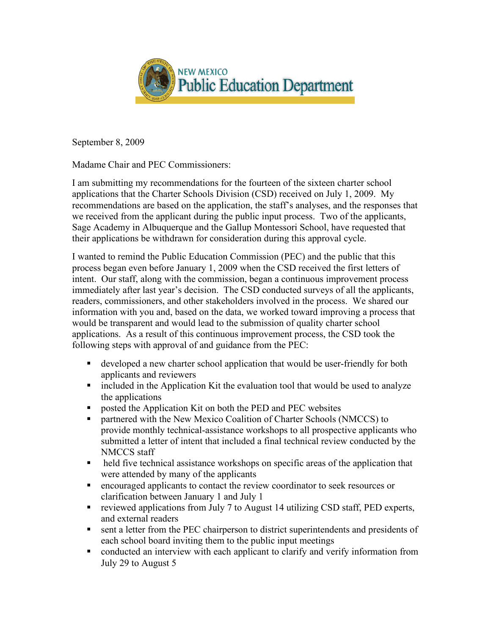

September 8, 2009

Madame Chair and PEC Commissioners:

I am submitting my recommendations for the fourteen of the sixteen charter school applications that the Charter Schools Division (CSD) received on July 1, 2009. My recommendations are based on the application, the staff's analyses, and the responses that we received from the applicant during the public input process. Two of the applicants, Sage Academy in Albuquerque and the Gallup Montessori School, have requested that their applications be withdrawn for consideration during this approval cycle.

I wanted to remind the Public Education Commission (PEC) and the public that this process began even before January 1, 2009 when the CSD received the first letters of intent. Our staff, along with the commission, began a continuous improvement process immediately after last year's decision. The CSD conducted surveys of all the applicants, readers, commissioners, and other stakeholders involved in the process. We shared our information with you and, based on the data, we worked toward improving a process that would be transparent and would lead to the submission of quality charter school applications. As a result of this continuous improvement process, the CSD took the following steps with approval of and guidance from the PEC:

- developed a new charter school application that would be user-friendly for both applicants and reviewers
- included in the Application Kit the evaluation tool that would be used to analyze the applications
- **Permission 5 The Application Kit on both the PED and PEC websites**
- partnered with the New Mexico Coalition of Charter Schools (NMCCS) to provide monthly technical-assistance workshops to all prospective applicants who submitted a letter of intent that included a final technical review conducted by the NMCCS staff
- held five technical assistance workshops on specific areas of the application that were attended by many of the applicants
- encouraged applicants to contact the review coordinator to seek resources or clarification between January 1 and July 1
- reviewed applications from July 7 to August 14 utilizing CSD staff, PED experts, and external readers
- sent a letter from the PEC chairperson to district superintendents and presidents of each school board inviting them to the public input meetings
- conducted an interview with each applicant to clarify and verify information from July 29 to August 5